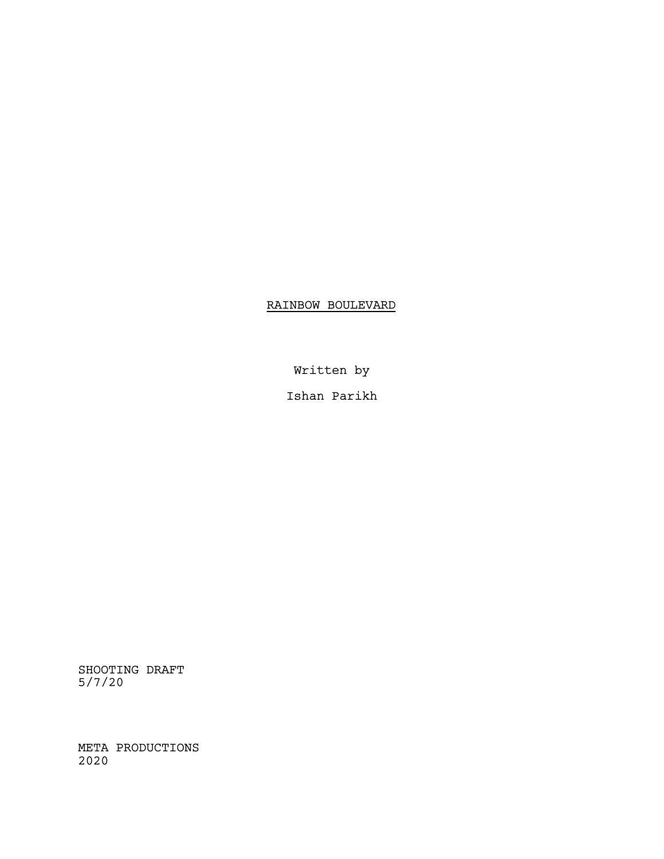RAINBOW BOULEVARD

Written by

Ishan Parikh

SHOOTING DRAFT 5/7/20

META PRODUCTIONS 2020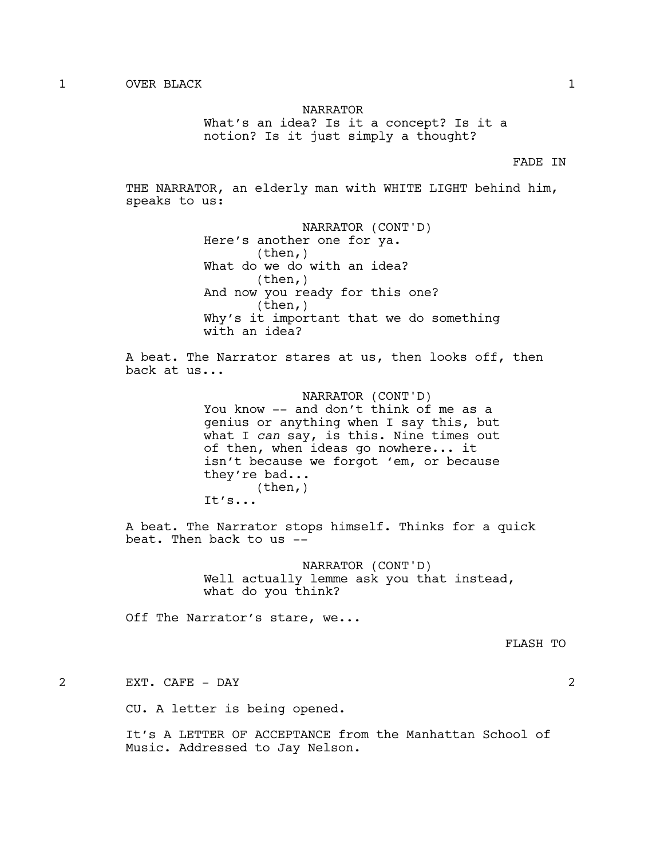1 OVER BLACK 1

#### NARRATOR

What's an idea? Is it a concept? Is it a notion? Is it just simply a thought?

# FADE IN

THE NARRATOR, an elderly man with WHITE LIGHT behind him, speaks to us:

> NARRATOR (CONT'D) Here's another one for ya. (then,) What do we do with an idea?  $(then, )$ And now you ready for this one? (then,) Why's it important that we do something with an idea?

A beat. The Narrator stares at us, then looks off, then back at us...

> NARRATOR (CONT'D) You know -- and don't think of me as a genius or anything when I say this, but what I *can* say, is this. Nine times out of then, when ideas go nowhere... it isn't because we forgot 'em, or because they're bad... (then,)

It's...

A beat. The Narrator stops himself. Thinks for a quick beat. Then back to us --

> NARRATOR (CONT'D) Well actually lemme ask you that instead, what do you think?

Off The Narrator's stare, we...

FLASH TO

2 EXT. CAFE - DAY 2

CU. A letter is being opened.

It's A LETTER OF ACCEPTANCE from the Manhattan School of Music. Addressed to Jay Nelson.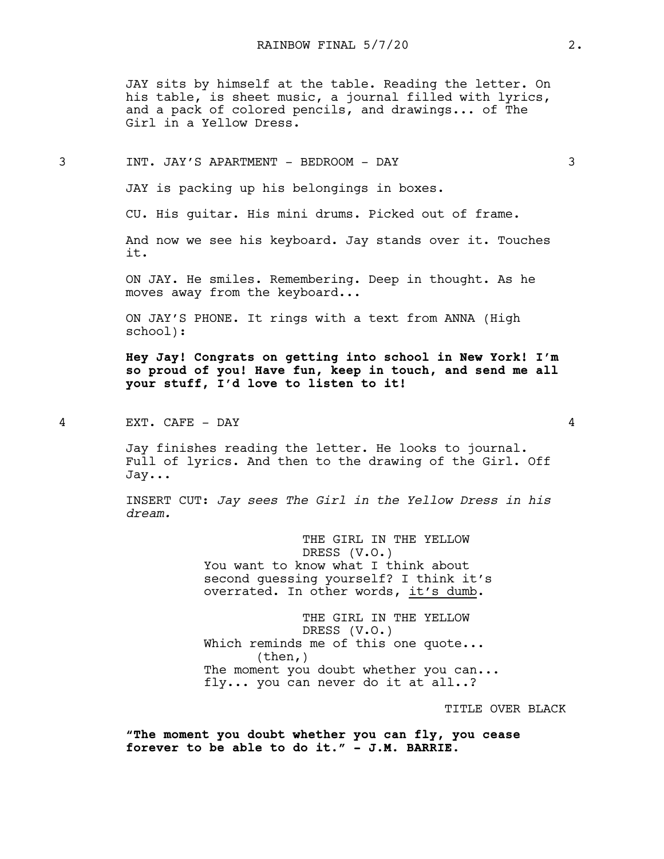JAY sits by himself at the table. Reading the letter. On his table, is sheet music, a journal filled with lyrics, and a pack of colored pencils, and drawings... of The Girl in a Yellow Dress.

3 INT. JAY'S APARTMENT - BEDROOM - DAY 3

JAY is packing up his belongings in boxes.

CU. His guitar. His mini drums. Picked out of frame.

And now we see his keyboard. Jay stands over it. Touches it.

ON JAY. He smiles. Remembering. Deep in thought. As he moves away from the keyboard...

ON JAY'S PHONE. It rings with a text from ANNA (High school):

**Hey Jay! Congrats on getting into school in New York! I'm so proud of you! Have fun, keep in touch, and send me all your stuff, I'd love to listen to it!**

4 EXT. CAFE - DAY 4

Jay finishes reading the letter. He looks to journal. Full of lyrics. And then to the drawing of the Girl. Off Jay...

INSERT CUT: *Jay sees The Girl in the Yellow Dress in his dream.*

> THE GIRL IN THE YELLOW DRESS (V.O.) You want to know what I think about second guessing yourself? I think it's overrated. In other words, it's dumb.

THE GIRL IN THE YELLOW DRESS (V.O.) Which reminds me of this one quote... (then,) The moment you doubt whether you can... fly... you can never do it at all..?

TITLE OVER BLACK

**"The moment you doubt whether you can fly, you cease forever to be able to do it." - J.M. BARRIE.**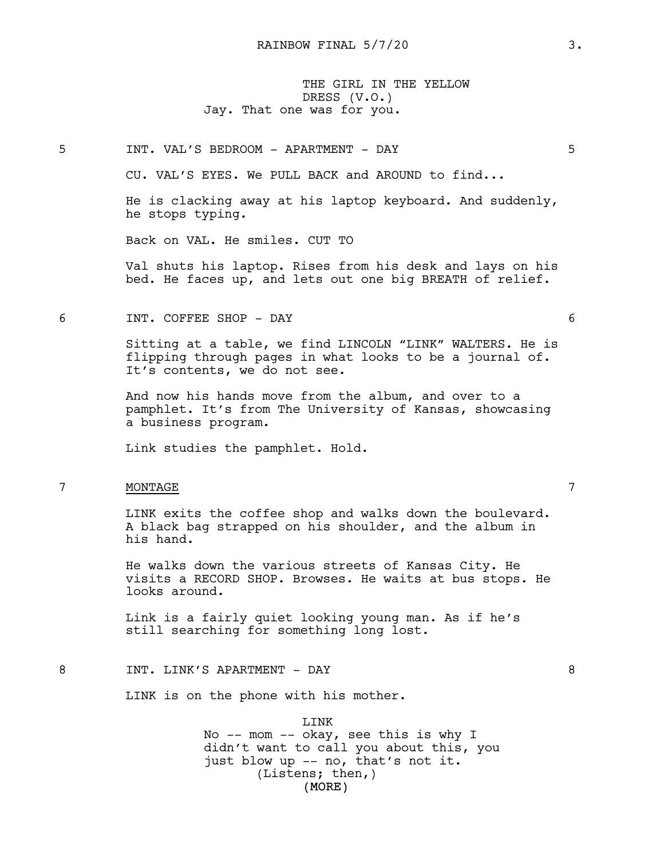THE GIRL IN THE YELLOW DRESS (V.O.) Jay. That one was for you.

5 INT. VAL'S BEDROOM - APARTMENT - DAY 5

CU. VAL'S EYES. We PULL BACK and AROUND to find...

He is clacking away at his laptop keyboard. And suddenly, he stops typing.

Back on VAL. He smiles. CUT TO

Val shuts his laptop. Rises from his desk and lays on his bed. He faces up, and lets out one big BREATH of relief.

6 INT. COFFEE SHOP - DAY 6

Sitting at a table, we find LINCOLN "LINK" WALTERS. He is flipping through pages in what looks to be a journal of. It's contents, we do not see.

And now his hands move from the album, and over to a pamphlet. It's from The University of Kansas, showcasing a business program.

Link studies the pamphlet. Hold.

# 7 MONTAGE MONTAGE 7

LINK exits the coffee shop and walks down the boulevard. A black bag strapped on his shoulder, and the album in his hand.

He walks down the various streets of Kansas City. He visits a RECORD SHOP. Browses. He waits at bus stops. He looks around.

Link is a fairly quiet looking young man. As if he's still searching for something long lost.

8 INT. LINK'S APARTMENT - DAY 8

LINK is on the phone with his mother.

(MORE) LINK No -- mom -- okay, see this is why I didn't want to call you about this, you just blow up -- no, that's not it. (Listens; then,)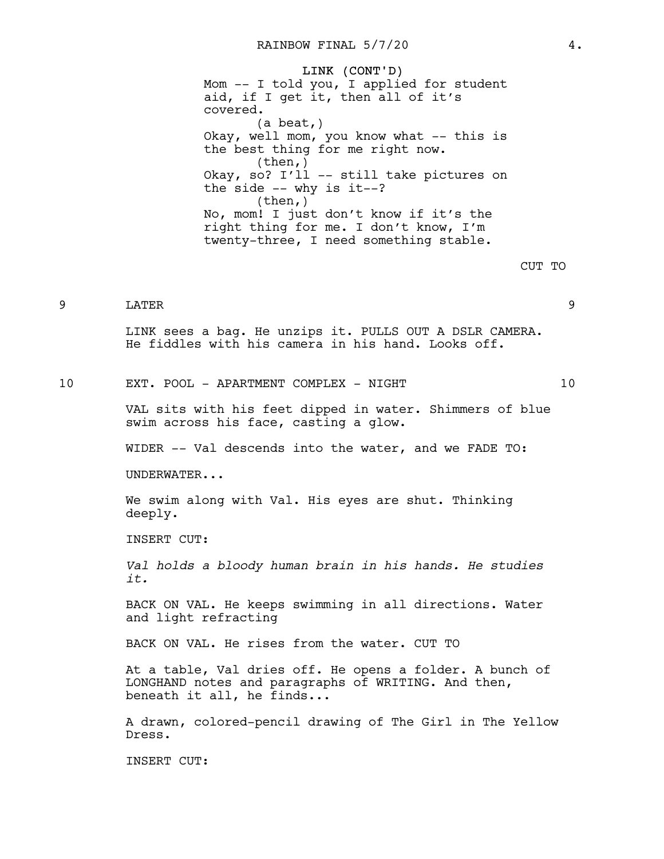LINK (CONT'D) Mom -- I told you, I applied for student aid, if I get it, then all of it's covered. (a beat,) Okay, well mom, you know what -- this is the best thing for me right now. (then,) Okay, so? I'll -- still take pictures on the side  $--$  why is it- $-$ ? (then,) No, mom! I just don't know if it's the right thing for me. I don't know, I'm twenty-three, I need something stable.

# 9 LATER 9

LINK sees a bag. He unzips it. PULLS OUT A DSLR CAMERA. He fiddles with his camera in his hand. Looks off.

#### 10 EXT. POOL - APARTMENT COMPLEX - NIGHT 10

VAL sits with his feet dipped in water. Shimmers of blue swim across his face, casting a glow.

WIDER -- Val descends into the water, and we FADE TO:

UNDERWATER...

We swim along with Val. His eyes are shut. Thinking deeply.

INSERT CUT:

*Val holds a bloody human brain in his hands. He studies it.*

BACK ON VAL. He keeps swimming in all directions. Water and light refracting

BACK ON VAL. He rises from the water. CUT TO

At a table, Val dries off. He opens a folder. A bunch of LONGHAND notes and paragraphs of WRITING. And then, beneath it all, he finds...

A drawn, colored-pencil drawing of The Girl in The Yellow Dress.

INSERT CUT: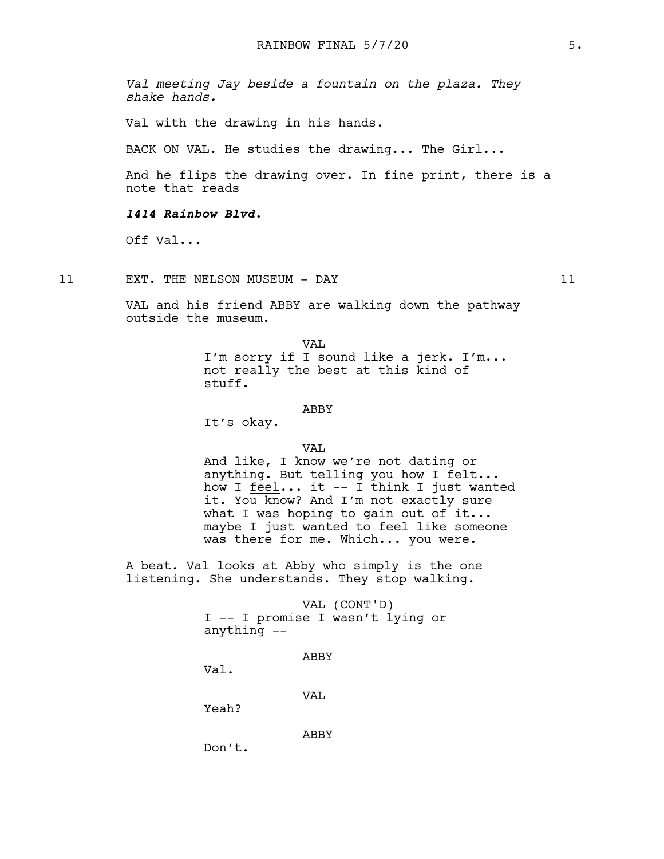*Val meeting Jay beside a fountain on the plaza. They shake hands.*

Val with the drawing in his hands.

BACK ON VAL. He studies the drawing... The Girl...

And he flips the drawing over. In fine print, there is a note that reads

# *1414 Rainbow Blvd.*

Off Val...

11 EXT. THE NELSON MUSEUM - DAY 11

VAL and his friend ABBY are walking down the pathway outside the museum.

> VAL I'm sorry if I sound like a jerk. I'm... not really the best at this kind of stuff.

> > ABBY

It's okay.

VAL

And like, I know we're not dating or anything. But telling you how I felt... how I feel... it -- I think I just wanted it. You know? And I'm not exactly sure what I was hoping to gain out of it... maybe I just wanted to feel like someone was there for me. Which... you were.

A beat. Val looks at Abby who simply is the one listening. She understands. They stop walking.

> VAL (CONT'D) I -- I promise I wasn't lying or anything --

> > ABBY

Val.

VAL

Yeah?

ABBY

Don't.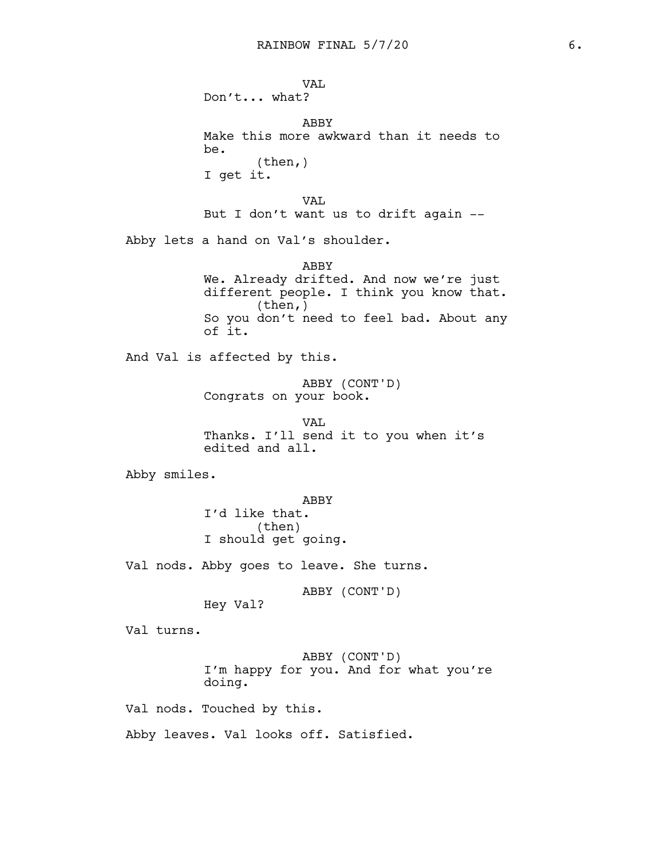VAL. Don't... what? ABBY Make this more awkward than it needs to be. (then,) I get it. VAL But I don't want us to drift again -- Abby lets a hand on Val's shoulder. ABBY We. Already drifted. And now we're just different people. I think you know that. (then,) So you don't need to feel bad. About any of it. And Val is affected by this. ABBY (CONT'D) Congrats on your book. VAL Thanks. I'll send it to you when it's edited and all. Abby smiles. ABBY I'd like that. (then) I should get going. Val nods. Abby goes to leave. She turns. ABBY (CONT'D) Hey Val? Val turns. ABBY (CONT'D) I'm happy for you. And for what you're doing. Val nods. Touched by this. Abby leaves. Val looks off. Satisfied.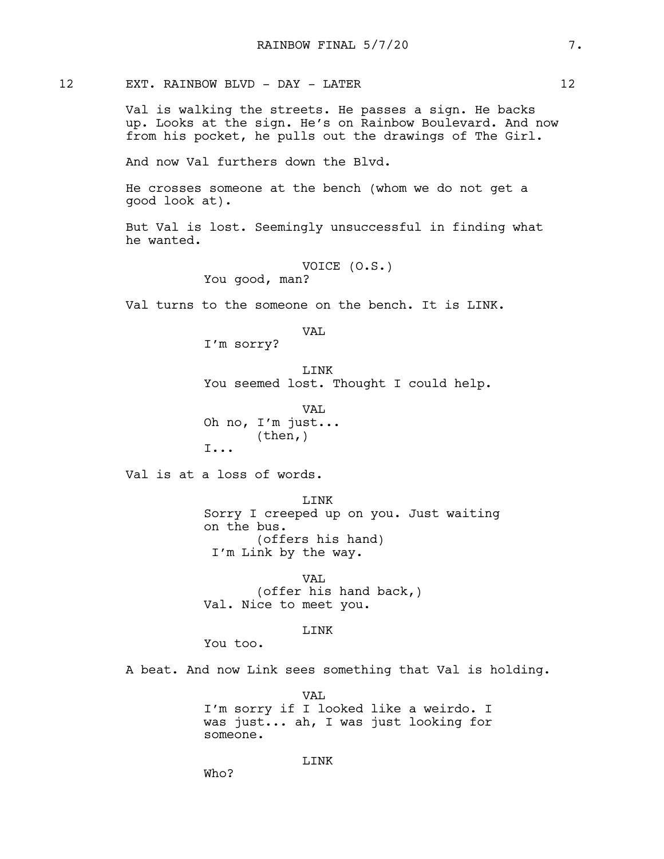12 EXT. RAINBOW BLVD - DAY - LATER 12

Val is walking the streets. He passes a sign. He backs up. Looks at the sign. He's on Rainbow Boulevard. And now from his pocket, he pulls out the drawings of The Girl.

And now Val furthers down the Blvd.

He crosses someone at the bench (whom we do not get a good look at).

But Val is lost. Seemingly unsuccessful in finding what he wanted.

> VOICE (O.S.) You good, man?

Val turns to the someone on the bench. It is LINK.

VAL

I'm sorry?

**T.TNK** You seemed lost. Thought I could help.

VAL Oh no, I'm just... (then,) I...

Val is at a loss of words.

LINK Sorry I creeped up on you. Just waiting on the bus. (offers his hand) I'm Link by the way.

VAL (offer his hand back,) Val. Nice to meet you.

#### LINK

You too.

A beat. And now Link sees something that Val is holding.

VAL I'm sorry if I looked like a weirdo. I was just... ah, I was just looking for someone.

Who?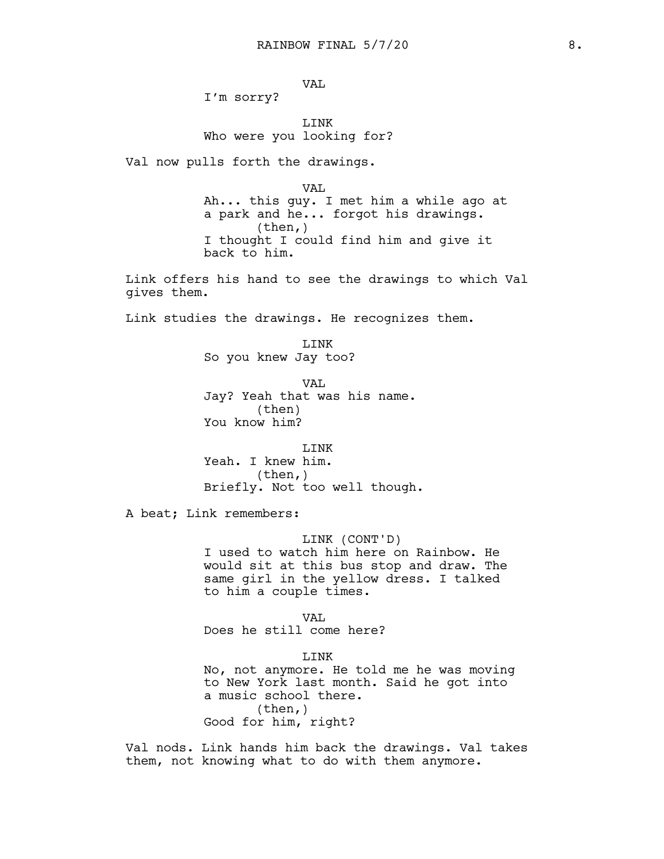VAL

I'm sorry?

LINK Who were you looking for?

Val now pulls forth the drawings.

VAL Ah... this guy. I met him a while ago at a park and he... forgot his drawings. (then,) I thought I could find him and give it back to him.

Link offers his hand to see the drawings to which Val gives them.

Link studies the drawings. He recognizes them.

LINK So you knew Jay too?

VAL Jay? Yeah that was his name. (then) You know him?

LINK Yeah. I knew him.  $(then, )$ Briefly. Not too well though.

A beat; Link remembers:

## LINK (CONT'D)

I used to watch him here on Rainbow. He would sit at this bus stop and draw. The same girl in the yellow dress. I talked to him a couple times.

VAL Does he still come here?

LINK

No, not anymore. He told me he was moving to New York last month. Said he got into a music school there. (then,) Good for him, right?

Val nods. Link hands him back the drawings. Val takes them, not knowing what to do with them anymore.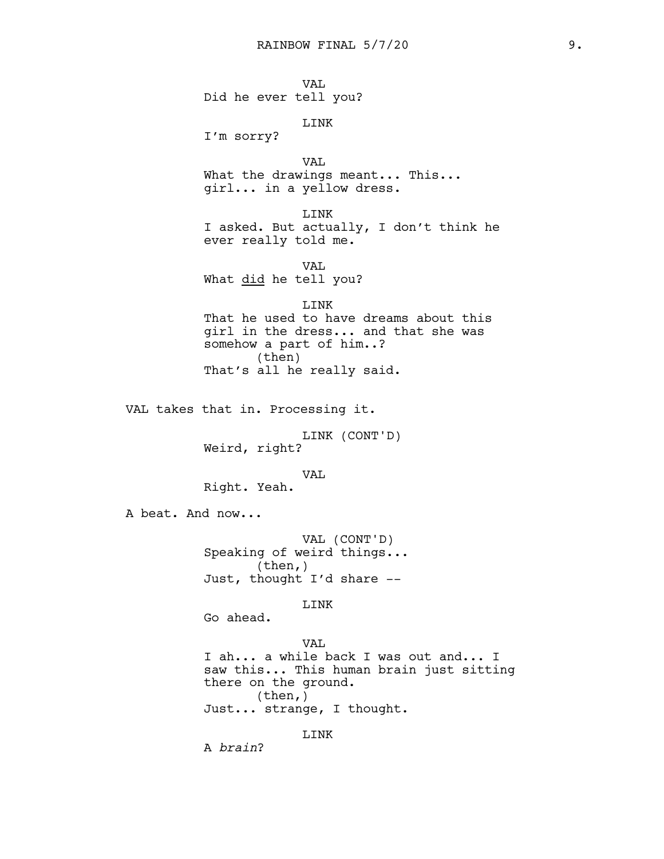VAL Did he ever tell you?

LINK

I'm sorry?

VAL What the drawings meant... This... girl... in a yellow dress.

LINK I asked. But actually, I don't think he ever really told me.

VAL What did he tell you?

LINK

That he used to have dreams about this girl in the dress... and that she was somehow a part of him..? (then) That's all he really said.

VAL takes that in. Processing it.

LINK (CONT'D) Weird, right?

VAL

Right. Yeah.

A beat. And now...

VAL (CONT'D) Speaking of weird things... (then,) Just, thought I'd share --

LINK

Go ahead.

# VAL

I ah... a while back I was out and... I saw this... This human brain just sitting there on the ground. (then,) Just... strange, I thought.

LINK

A *brain*?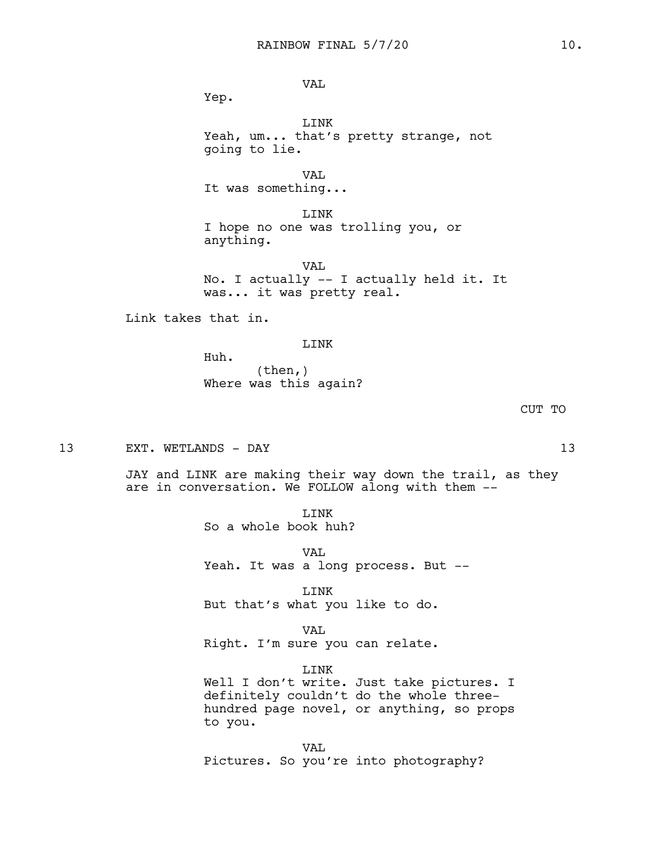VAL

Yep.

LINK Yeah, um... that's pretty strange, not going to lie.

VAL It was something...

LINK I hope no one was trolling you, or anything.

VAL No. I actually -- I actually held it. It was... it was pretty real.

Link takes that in.

## LINK

Huh. (then,) Where was this again?

13 EXT. WETLANDS - DAY 13

JAY and LINK are making their way down the trail, as they are in conversation. We FOLLOW along with them --

> LINK So a whole book huh?

VAL Yeah. It was a long process. But --

LINK But that's what you like to do.

VAL Right. I'm sure you can relate.

LINK Well I don't write. Just take pictures. I definitely couldn't do the whole threehundred page novel, or anything, so props to you.

VAL Pictures. So you're into photography?

CUT TO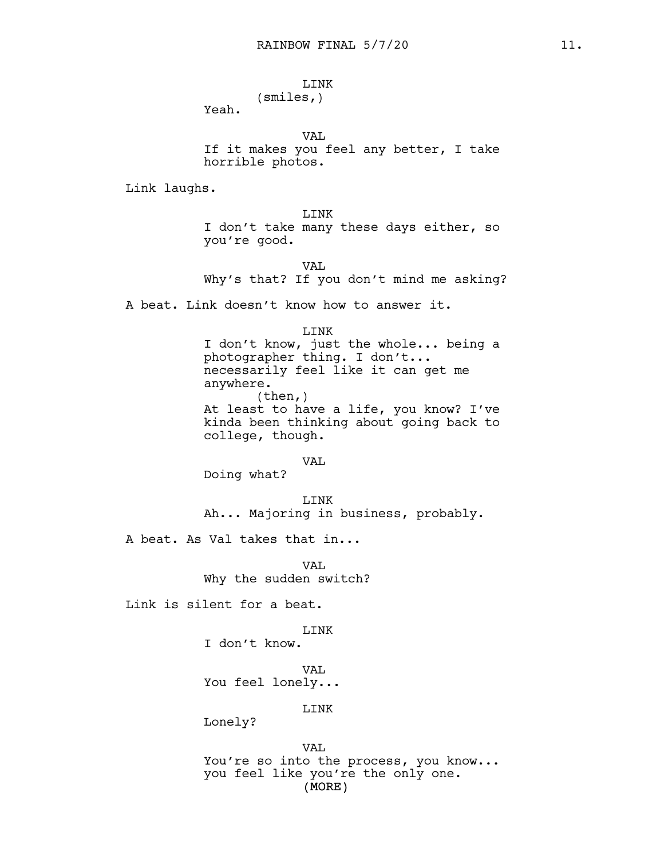# LINK

# (smiles,)

Yeah.

VAL

If it makes you feel any better, I take horrible photos.

Link laughs.

LINK I don't take many these days either, so you're good.

VAL Why's that? If you don't mind me asking?

A beat. Link doesn't know how to answer it.

#### LINK

I don't know, just the whole... being a photographer thing. I don't... necessarily feel like it can get me anywhere. (then,) At least to have a life, you know? I've kinda been thinking about going back to college, though.

### VAL

Doing what?

LINK Ah... Majoring in business, probably.

A beat. As Val takes that in...

VAL Why the sudden switch?

Link is silent for a beat.

## LINK

I don't know.

VAL You feel lonely...

LINK

Lonely?

(MORE) VAL You're so into the process, you know... you feel like you're the only one.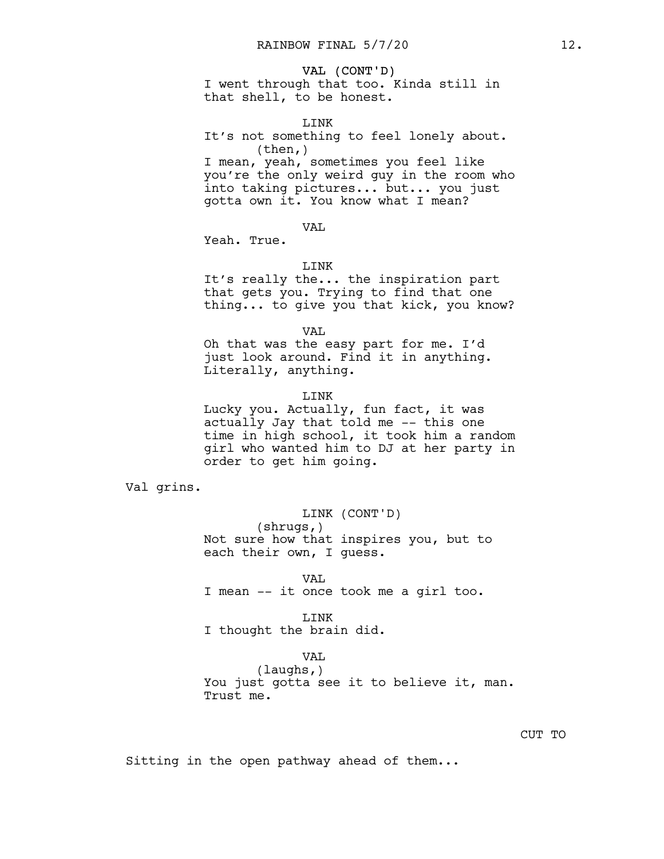### VAL (CONT'D)

I went through that too. Kinda still in that shell, to be honest.

### LINK

It's not something to feel lonely about. (then,)

I mean, yeah, sometimes you feel like you're the only weird guy in the room who into taking pictures... but... you just gotta own it. You know what I mean?

VAL

Yeah. True.

### LINK

It's really the... the inspiration part that gets you. Trying to find that one thing... to give you that kick, you know?

VAL

Oh that was the easy part for me. I'd just look around. Find it in anything. Literally, anything.

LINK

Lucky you. Actually, fun fact, it was actually Jay that told me -- this one time in high school, it took him a random girl who wanted him to DJ at her party in order to get him going.

Val grins.

LINK (CONT'D) (shrugs,) Not sure how that inspires you, but to each their own, I guess.

VAL I mean -- it once took me a girl too.

LINK I thought the brain did.

#### VAL

(laughs,) You just gotta see it to believe it, man. Trust me.

Sitting in the open pathway ahead of them...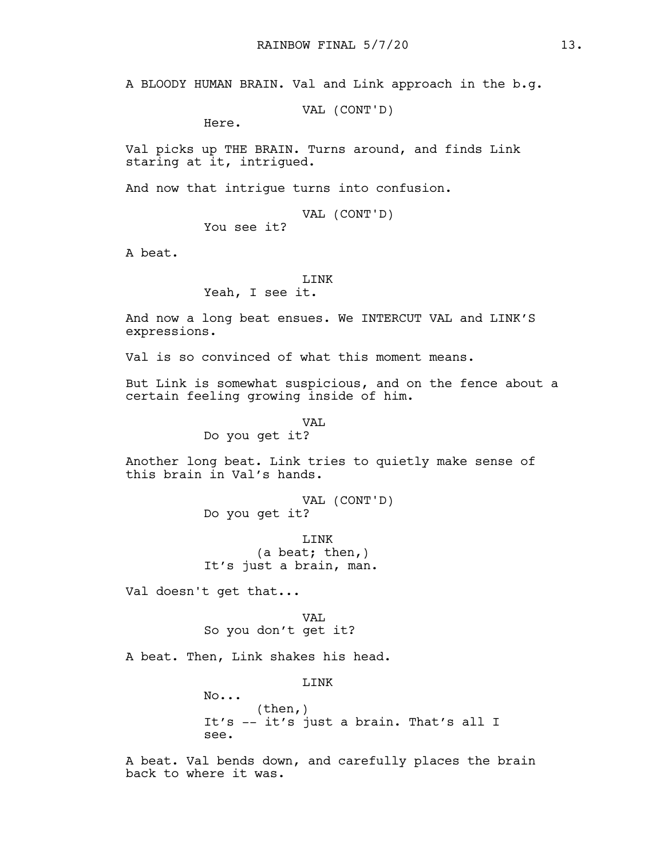A BLOODY HUMAN BRAIN. Val and Link approach in the b.g.

VAL (CONT'D)

Here.

Val picks up THE BRAIN. Turns around, and finds Link staring at it, intrigued.

And now that intrigue turns into confusion.

VAL (CONT'D) You see it?

A beat.

## **T.TNK**

Yeah, I see it.

And now a long beat ensues. We INTERCUT VAL and LINK'S expressions.

Val is so convinced of what this moment means.

But Link is somewhat suspicious, and on the fence about a certain feeling growing inside of him.

VAL

Do you get it?

Another long beat. Link tries to quietly make sense of this brain in Val's hands.

> VAL (CONT'D) Do you get it?

LINK (a beat; then,) It's just a brain, man.

Val doesn't get that...

VAL So you don't get it?

A beat. Then, Link shakes his head.

LINK

No... (then,) It's -- it's just a brain. That's all I see.

A beat. Val bends down, and carefully places the brain back to where it was.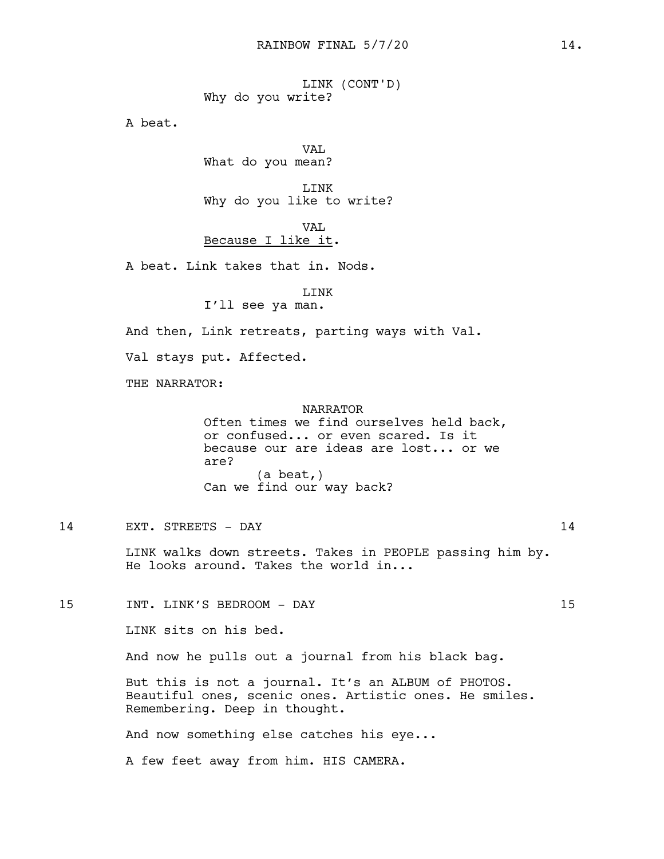LINK (CONT'D) Why do you write?

A beat.

VAL What do you mean?

LINK Why do you like to write?

VAL Because I like it.

A beat. Link takes that in. Nods.

LINK

I'll see ya man.

And then, Link retreats, parting ways with Val.

Val stays put. Affected.

THE NARRATOR:

NARRATOR

Often times we find ourselves held back, or confused... or even scared. Is it because our are ideas are lost... or we are? (a beat,) Can we find our way back?

14 EXT. STREETS - DAY 14

LINK walks down streets. Takes in PEOPLE passing him by. He looks around. Takes the world in...

15 INT. LINK'S BEDROOM - DAY 15

LINK sits on his bed.

And now he pulls out a journal from his black bag.

But this is not a journal. It's an ALBUM of PHOTOS. Beautiful ones, scenic ones. Artistic ones. He smiles. Remembering. Deep in thought.

And now something else catches his eye...

A few feet away from him. HIS CAMERA.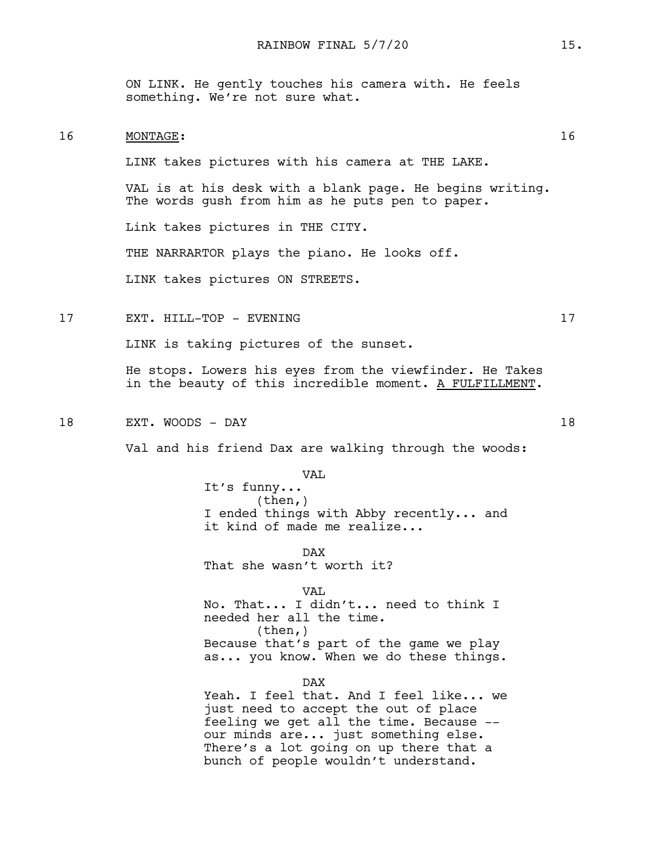ON LINK. He gently touches his camera with. He feels something. We're not sure what.

# 16 MONTAGE: 16

LINK takes pictures with his camera at THE LAKE.

VAL is at his desk with a blank page. He begins writing. The words gush from him as he puts pen to paper.

Link takes pictures in THE CITY.

THE NARRARTOR plays the piano. He looks off.

LINK takes pictures ON STREETS.

17 EXT. HILL-TOP - EVENING 17

LINK is taking pictures of the sunset.

He stops. Lowers his eyes from the viewfinder. He Takes in the beauty of this incredible moment. A FULFILLMENT.

18 EXT. WOODS - DAY 18

Val and his friend Dax are walking through the woods:

VAL It's funny... (then,)

I ended things with Abby recently... and it kind of made me realize...

DAX That she wasn't worth it?

VAL No. That... I didn't... need to think I needed her all the time. (then,) Because that's part of the game we play as... you know. When we do these things.

DAX Yeah. I feel that. And I feel like... we just need to accept the out of place feeling we get all the time. Because - our minds are... just something else. There's a lot going on up there that a bunch of people wouldn't understand.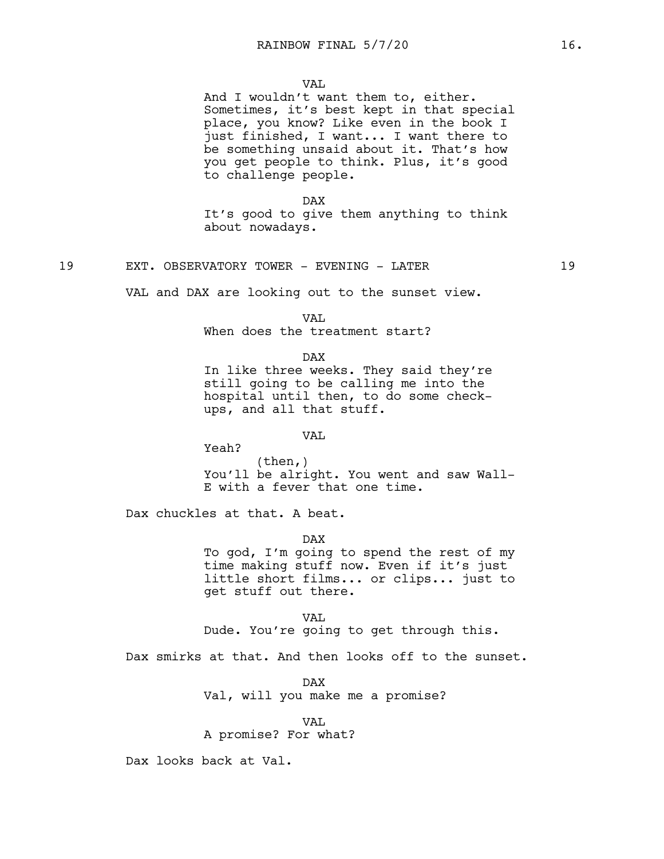#### VAL

And I wouldn't want them to, either. Sometimes, it's best kept in that special place, you know? Like even in the book I just finished, I want... I want there to be something unsaid about it. That's how you get people to think. Plus, it's good to challenge people.

DAX

It's good to give them anything to think about nowadays.

19 EXT. OBSERVATORY TOWER - EVENING - LATER 19

VAL and DAX are looking out to the sunset view.

VAL

When does the treatment start?

DAX

In like three weeks. They said they're still going to be calling me into the hospital until then, to do some checkups, and all that stuff.

VAL

Yeah? (then,) You'll be alright. You went and saw Wall-E with a fever that one time.

Dax chuckles at that. A beat.

DAX

To god, I'm going to spend the rest of my time making stuff now. Even if it's just little short films... or clips... just to get stuff out there.

VAL Dude. You're going to get through this.

Dax smirks at that. And then looks off to the sunset.

DAX Val, will you make me a promise?

## VAL

A promise? For what?

Dax looks back at Val.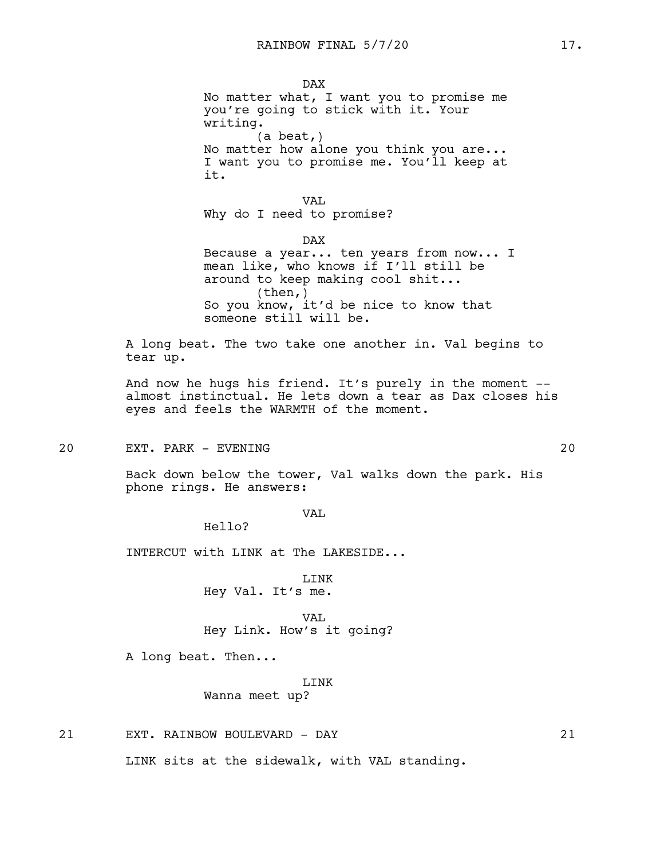DAX No matter what, I want you to promise me you're going to stick with it. Your writing. (a beat,) No matter how alone you think you are... I want you to promise me. You'll keep at it.

VAL Why do I need to promise?

DAX Because a year... ten years from now... I mean like, who knows if I'll still be around to keep making cool shit... (then,) So you know, it'd be nice to know that someone still will be.

A long beat. The two take one another in. Val begins to tear up.

And now he hugs his friend. It's purely in the moment - almost instinctual. He lets down a tear as Dax closes his eyes and feels the WARMTH of the moment.

20 EXT. PARK - EVENING 20

Back down below the tower, Val walks down the park. His phone rings. He answers:

VAL

Hello?

INTERCUT with LINK at The LAKESIDE...

LINK Hey Val. It's me.

VAL Hey Link. How's it going?

A long beat. Then...

LINK Wanna meet up?

21 EXT. RAINBOW BOULEVARD - DAY 21

LINK sits at the sidewalk, with VAL standing.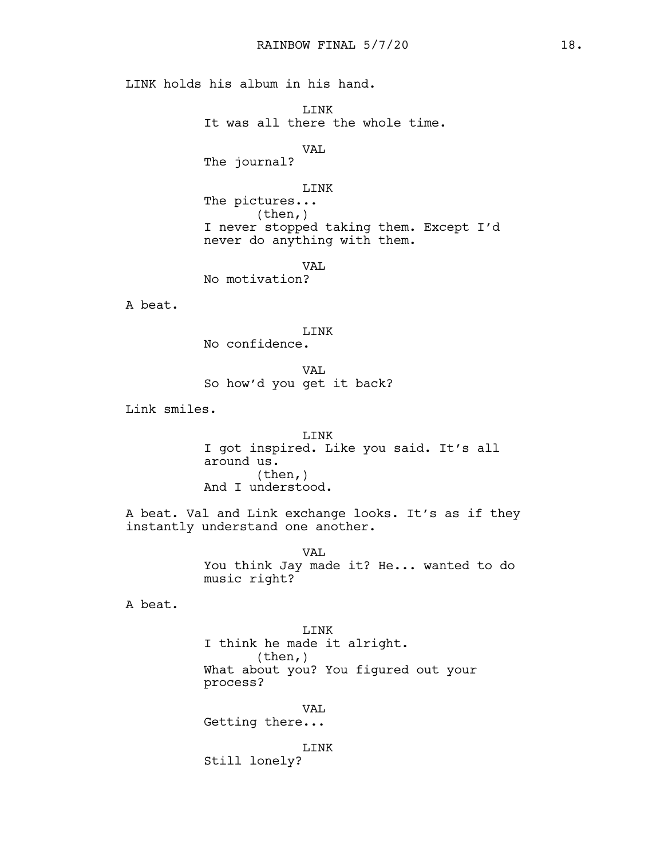LINK holds his album in his hand.

**T.TNK** It was all there the whole time.

VAL

The journal?

LINK

The pictures... (then,) I never stopped taking them. Except I'd never do anything with them.

VAL No motivation?

A beat.

LINK No confidence.

VAL So how'd you get it back?

Link smiles.

LINK I got inspired. Like you said. It's all around us. (then,) And I understood.

A beat. Val and Link exchange looks. It's as if they instantly understand one another.

> VAL You think Jay made it? He... wanted to do music right?

A beat.

LINK I think he made it alright. (then,) What about you? You figured out your process?

VAL Getting there...

LINK

Still lonely?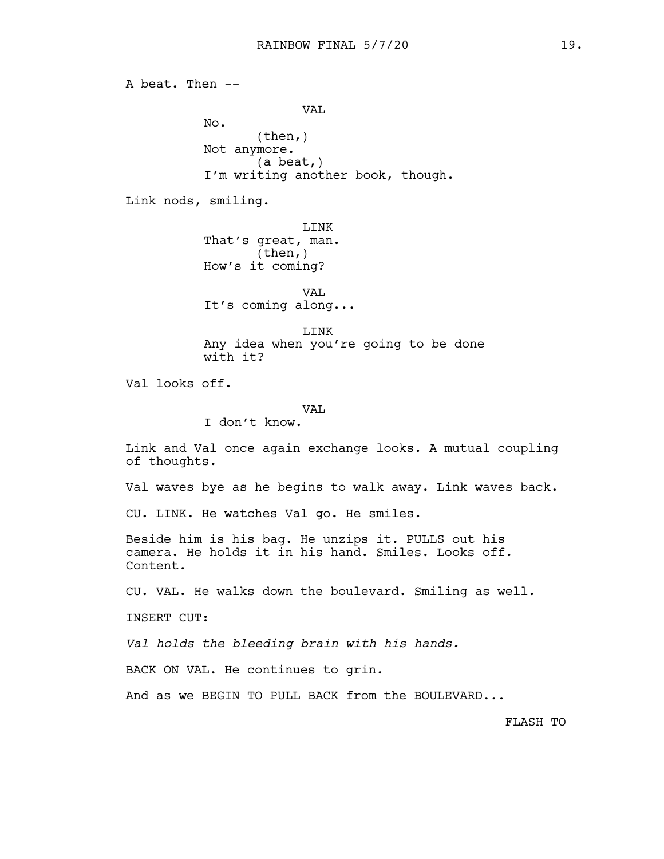A beat. Then -- VA<sub>L</sub> No. (then,) Not anymore. (a beat,) I'm writing another book, though. Link nods, smiling. LINK That's great, man. (then,) How's it coming? VAL It's coming along... LINK Any idea when you're going to be done with it? Val looks off. VAL I don't know. Link and Val once again exchange looks. A mutual coupling of thoughts. Val waves bye as he begins to walk away. Link waves back. CU. LINK. He watches Val go. He smiles. Beside him is his bag. He unzips it. PULLS out his camera. He holds it in his hand. Smiles. Looks off. Content. CU. VAL. He walks down the boulevard. Smiling as well. INSERT CUT: *Val holds the bleeding brain with his hands.* BACK ON VAL. He continues to grin. And as we BEGIN TO PULL BACK from the BOULEVARD...

FLASH TO